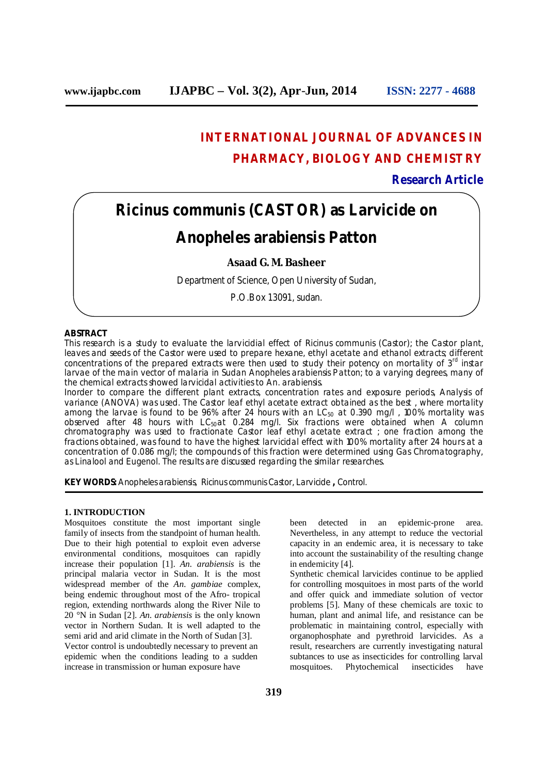# **INTERNATIONAL JOURNAL OF ADVANCES IN PHARMACY, BIOLOGY AND CHEMISTRY**

## **Research Article**

# *Ricinus communis* **(CASTOR) as Larvicide on**

# *Anopheles arabiensis* **Patton**

## **Asaad G. M. Basheer**

Department of Science, Open University of Sudan,

P.O.Box 13091, sudan.

## **ABSTRACT**

This research is a study to evaluate the larvicidial effect of *Ricinus communis* (Castor); the Castor plant, leaves and seeds of the Castor were used to prepare hexane, ethyl acetate and ethanol extracts; different concentrations of the prepared extracts were then used to study their potency on mortality of  $3<sup>rd</sup>$  instar larvae of the main vector of malaria in Sudan *Anopheles arabiensis* Patton; to a varying degrees, many of the chemical extracts showed larvicidal activities to *An. arabiensis*.

Inorder to compare the different plant extracts, concentration rates and exposure periods, Analysis of variance (ANOVA) was used. The Castor leaf ethyl acetate extract obtained as the best , where mortality among the larvae is found to be 96% after 24 hours with an  $LC_{50}$  at 0.390 mg/l, 100% mortality was observed after 48 hours with  $LC_{50}$ at 0.284 mg/l. Six fractions were obtained when A column chromatography was used to fractionate Castor leaf ethyl acetate extract ; one fraction among the fractions obtained, was found to have the highest larvicidal effect with 100% mortality after 24 hours at a concentration of 0.086 mg/l; the compounds of this fraction were determined using Gas Chromatography, as Linalool and Eugenol. The results are discussed regarding the similar researches.

**KEY WORDS:** *Anopheles arabiensis, Ricinus communis* Castor, Larvicide **,** Control.

## **1. INTRODUCTION**

Mosquitoes constitute the most important single family of insects from the standpoint of human health. Due to their high potential to exploit even adverse environmental conditions, mosquitoes can rapidly increase their population [1]. *An. arabiensis* is the principal malaria vector in Sudan. It is the most widespread member of the *An. gambiae* complex, being endemic throughout most of the Afro- tropical region, extending northwards along the River Nile to 20 °N in Sudan [2]. *An. arabiensis* is the only known vector in Northern Sudan. It is well adapted to the semi arid and arid climate in the North of Sudan [3]. Vector control is undoubtedly necessary to prevent an epidemic when the conditions leading to a sudden increase in transmission or human exposure have

been detected in an epidemic-prone area. Nevertheless, in any attempt to reduce the vectorial capacity in an endemic area, it is necessary to take into account the sustainability of the resulting change in endemicity [4].

Synthetic chemical larvicides continue to be applied for controlling mosquitoes in most parts of the world and offer quick and immediate solution of vector problems [5]. Many of these chemicals are toxic to human, plant and animal life, and resistance can be problematic in maintaining control, especially with organophosphate and pyrethroid larvicides. As a result, researchers are currently investigating natural subtances to use as insecticides for controlling larval mosquitoes. Phytochemical insecticides have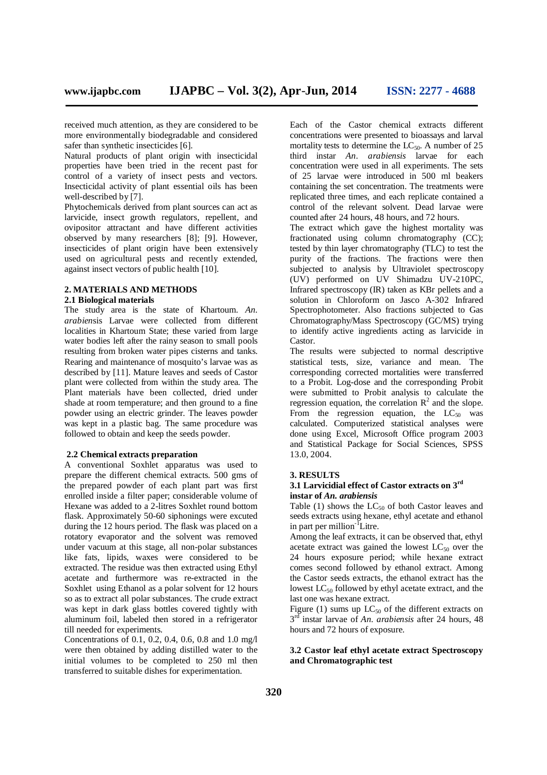received much attention, as they are considered to be more environmentally biodegradable and considered safer than synthetic insecticides [6].

Natural products of plant origin with insecticidal properties have been tried in the recent past for control of a variety of insect pests and vectors. Insecticidal activity of plant essential oils has been well-described by [7].

Phytochemicals derived from plant sources can act as larvicide, insect growth regulators, repellent, and ovipositor attractant and have different activities observed by many researchers [8]; [9]. However, insecticides of plant origin have been extensively used on agricultural pests and recently extended, against insect vectors of public health [10].

### **2. MATERIALS AND METHODS**

## **2.1 Biological materials**

The study area is the state of Khartoum. *An. arabien*sis Larvae were collected from different localities in Khartoum State; these varied from large water bodies left after the rainy season to small pools resulting from broken water pipes cisterns and tanks. Rearing and maintenance of mosquito's larvae was as described by [11]. Mature leaves and seeds of Castor plant were collected from within the study area. The Plant materials have been collected, dried under shade at room temperature; and then ground to a fine powder using an electric grinder. The leaves powder was kept in a plastic bag. The same procedure was followed to obtain and keep the seeds powder.

#### **2.2 Chemical extracts preparation**

A conventional Soxhlet apparatus was used to prepare the different chemical extracts. 500 gms of the prepared powder of each plant part was first enrolled inside a filter paper; considerable volume of Hexane was added to a 2-litres Soxhlet round bottom flask. Approximately 50-60 siphonings were excuted during the 12 hours period. The flask was placed on a rotatory evaporator and the solvent was removed under vacuum at this stage, all non-polar substances like fats, lipids, waxes were considered to be extracted. The residue was then extracted using Ethyl acetate and furthermore was re-extracted in the Soxhlet using Ethanol as a polar solvent for 12 hours so as to extract all polar substances. The crude extract was kept in dark glass bottles covered tightly with aluminum foil, labeled then stored in a refrigerator till needed for experiments.

Concentrations of 0.1, 0.2, 0.4, 0.6, 0.8 and 1.0 mg/l were then obtained by adding distilled water to the initial volumes to be completed to 250 ml then transferred to suitable dishes for experimentation.

Each of the Castor chemical extracts different concentrations were presented to bioassays and larval mortality tests to determine the  $LC_{50}$ . A number of 25 third instar *An. arabiensis* larvae for each concentration were used in all experiments. The sets of 25 larvae were introduced in 500 ml beakers containing the set concentration. The treatments were replicated three times, and each replicate contained a control of the relevant solvent. Dead larvae were counted after 24 hours, 48 hours, and 72 hours.

The extract which gave the highest mortality was fractionated using column chromatography (CC); tested by thin layer chromatography  $(TLC)$  to test the purity of the fractions. The fractions were then subjected to analysis by Ultraviolet spectroscopy (UV) performed on UV Shimadzu UV-210PC, Infrared spectroscopy (IR) taken as KBr pellets and a solution in Chloroform on Jasco A-302 Infrared Spectrophotometer. Also fractions subjected to Gas Chromatography/Mass Spectroscopy (GC/MS) trying to identify active ingredients acting as larvicide in Castor.

The results were subjected to normal descriptive statistical tests, size, variance and mean. The corresponding corrected mortalities were transferred to a Probit. Log-dose and the corresponding Probit were submitted to Probit analysis to calculate the regression equation, the correlation  $\mathbb{R}^2$  and the slope. From the regression equation, the  $LC_{50}$  was calculated. Computerized statistical analyses were done using Excel, Microsoft Office program 2003 and Statistical Package for Social Sciences, SPSS 13.0, 2004.

#### **3. RESULTS**

## **3.1 Larvicidial effect of Castor extracts on 3rd instar of** *An. arabiensis*

Table (1) shows the  $LC_{50}$  of both Castor leaves and seeds extracts using hexane, ethyl acetate and ethanol in part per million<sup>-1</sup>Litre.

Among the leaf extracts, it can be observed that, ethyl acetate extract was gained the lowest  $LC_{50}$  over the 24 hours exposure period; while hexane extract comes second followed by ethanol extract. Among the Castor seeds extracts, the ethanol extract has the lowest  $LC_{50}$  followed by ethyl acetate extract, and the last one was hexane extract.

Figure (1) sums up  $LC_{50}$  of the different extracts on 3 rd instar larvae of *An. arabiensis* after 24 hours, 48 hours and 72 hours of exposure.

## **3.2 Castor leaf ethyl acetate extract Spectroscopy and Chromatographic test**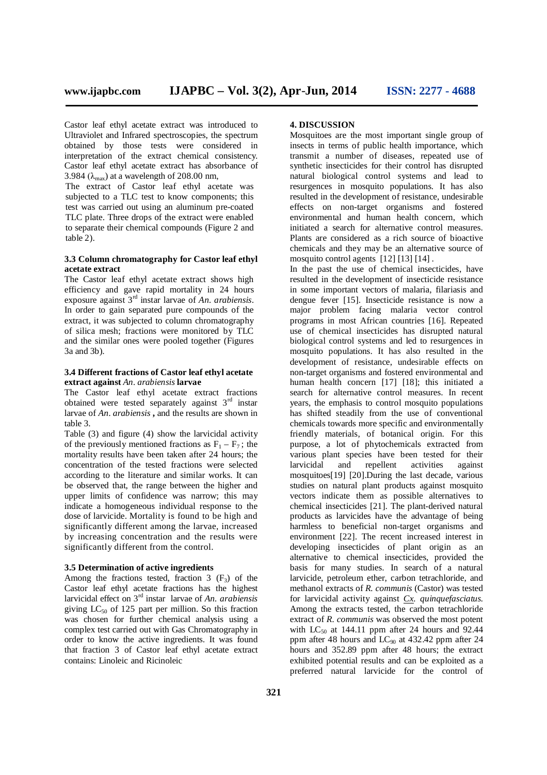Castor leaf ethyl acetate extract was introduced to Ultraviolet and Infrared spectroscopies, the spectrum obtained by those tests were considered in interpretation of the extract chemical consistency. Castor leaf ethyl acetate extract has absorbance of 3.984 ( $\lambda_{\text{max}}$ ) at a wavelength of 208.00 nm,

The extract of Castor leaf ethyl acetate was subjected to a TLC test to know components; this test was carried out using an aluminum pre-coated TLC plate. Three drops of the extract were enabled to separate their chemical compounds (Figure 2 and  $table<sub>2</sub>$ ).

## **3.3 Column chromatography for Castor leaf ethyl acetate extract**

The Castor leaf ethyl acetate extract shows high efficiency and gave rapid mortality in 24 hours exposure against 3rd instar larvae of *An. arabiensis*. In order to gain separated pure compounds of the extract, it was subjected to column chromatography of silica mesh; fractions were monitored by TLC and the similar ones were pooled together (Figures 3a and 3b).

### **3.4 Different fractions of Castor leaf ethyl acetate extract against** *An. arabiensis* **larvae**

The Castor leaf ethyl acetate extract fractions obtained were tested separately against  $3<sup>rd</sup>$  instar larvae of *An. arabiensis* **,** and the results are shown in table 3.

Table (3) and figure (4) show the larvicidal activity of the previously mentioned fractions as  $F_1 - F_7$ ; the mortality results have been taken after 24 hours; the concentration of the tested fractions were selected according to the literature and similar works. It can be observed that, the range between the higher and upper limits of confidence was narrow; this may indicate a homogeneous individual response to the dose of larvicide. Mortality is found to be high and significantly different among the larvae, increased by increasing concentration and the results were significantly different from the control.

#### **3.5 Determination of active ingredients**

Among the fractions tested, fraction  $3(F_3)$  of the Castor leaf ethyl acetate fractions has the highest larvicidal effect on 3rd instar larvae of *An. arabiensis* giving  $LC_{50}$  of 125 part per million. So this fraction was chosen for further chemical analysis using a complex test carried out with Gas Chromatography in order to know the active ingredients. It was found that fraction 3 of Castor leaf ethyl acetate extract contains: Linoleic and Ricinoleic

#### **4. DISCUSSION**

Mosquitoes are the most important single group of insects in terms of public health importance, which transmit a number of diseases, repeated use of synthetic insecticides for their control has disrupted natural biological control systems and lead to resurgences in mosquito populations. It has also resulted in the development of resistance, undesirable effects on non-target organisms and fostered environmental and human health concern, which initiated a search for alternative control measures. Plants are considered as a rich source of bioactive chemicals and they may be an alternative source of mosquito control agents [12] [13] [14] .

In the past the use of chemical insecticides, have resulted in the development of insecticide resistance in some important vectors of malaria, filariasis and dengue fever [15]. Insecticide resistance is now a major problem facing malaria vector control programs in most African countries [16]. Repeated use of chemical insecticides has disrupted natural biological control systems and led to resurgences in mosquito populations. It has also resulted in the development of resistance, undesirable effects on non-target organisms and fostered environmental and human health concern [17] [18]; this initiated a search for alternative control measures. In recent years, the emphasis to control mosquito populations has shifted steadily from the use of conventional chemicals towards more specific and environmentally friendly materials, of botanical origin. For this purpose, a lot of phytochemicals extracted from various plant species have been tested for their larvicidal and repellent activities against mosquitoes[19] [20].During the last decade, various studies on natural plant products against mosquito vectors indicate them as possible alternatives to chemical insecticides [21]. The plant-derived natural products as larvicides have the advantage of being harmless to beneficial non-target organisms and environment [22]. The recent increased interest in developing insecticides of plant origin as an alternative to chemical insecticides, provided the basis for many studies. In search of a natural larvicide, petroleum ether, carbon tetrachloride, and methanol extracts of *R. communis* (Castor) was tested for larvicidal activity against *Cx. quinquefasciatus.* Among the extracts tested, the carbon tetrachloride extract of *R. communis* was observed the most potent with  $LC_{50}$  at 144.11 ppm after 24 hours and 92.44 ppm after 48 hours and  $LC_{90}$  at 432.42 ppm after 24 hours and 352.89 ppm after 48 hours; the extract exhibited potential results and can be exploited as a preferred natural larvicide for the control of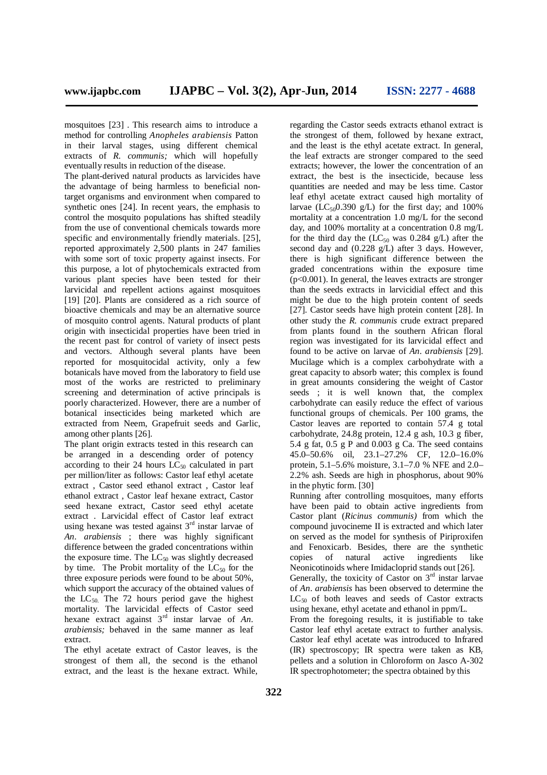mosquitoes [23] . This research aims to introduce a method for controlling *Anopheles arabiensis* Patton in their larval stages, using different chemical extracts of *R. communis;* which will hopefully eventually results in reduction of the disease.

The plant-derived natural products as larvicides have the advantage of being harmless to beneficial nontarget organisms and environment when compared to synthetic ones [24]. In recent years, the emphasis to control the mosquito populations has shifted steadily from the use of conventional chemicals towards more specific and environmentally friendly materials. [25], reported approximately 2,500 plants in 247 families with some sort of toxic property against insects. For this purpose, a lot of phytochemicals extracted from various plant species have been tested for their larvicidal and repellent actions against mosquitoes [19] [20]. Plants are considered as a rich source of bioactive chemicals and may be an alternative source of mosquito control agents. Natural products of plant origin with insecticidal properties have been tried in the recent past for control of variety of insect pests and vectors. Although several plants have been reported for mosquitocidal activity, only a few botanicals have moved from the laboratory to field use most of the works are restricted to preliminary screening and determination of active principals is poorly characterized. However, there are a number of botanical insecticides being marketed which are extracted from Neem, Grapefruit seeds and Garlic, among other plants [26].

The plant origin extracts tested in this research can be arranged in a descending order of potency according to their 24 hours  $LC_{50}$  calculated in part per million/liter as follows: Castor leaf ethyl acetate extract , Castor seed ethanol extract , Castor leaf ethanol extract , Castor leaf hexane extract, Castor seed hexane extract, Castor seed ethyl acetate extract . Larvicidal effect of Castor leaf extract using hexane was tested against  $3<sup>rd</sup>$  instar larvae of *An. arabiensis* ; there was highly significant difference between the graded concentrations within the exposure time. The  $LC_{50}$  was slightly decreased by time. The Probit mortality of the  $LC_{50}$  for the three exposure periods were found to be about 50%, which support the accuracy of the obtained values of the  $LC_{50}$ . The 72 hours period gave the highest mortality. The larvicidal effects of Castor seed hexane extract against 3rd instar larvae of *An. arabiensis;* behaved in the same manner as leaf extract.

The ethyl acetate extract of Castor leaves, is the strongest of them all, the second is the ethanol extract, and the least is the hexane extract. While, regarding the Castor seeds extracts ethanol extract is the strongest of them, followed by hexane extract, and the least is the ethyl acetate extract. In general, the leaf extracts are stronger compared to the seed extracts; however, the lower the concentration of an extract, the best is the insecticide, because less quantities are needed and may be less time. Castor leaf ethyl acetate extract caused high mortality of larvae (LC<sub>50</sub>0.390 g/L) for the first day; and  $100\%$ mortality at a concentration 1.0 mg/L for the second day, and 100% mortality at a concentration 0.8 mg/L for the third day the  $(LC_{50}$  was 0.284 g/L) after the second day and (0.228 g/L) after 3 days. However, there is high significant difference between the graded concentrations within the exposure time  $(p<0.001)$ . In general, the leaves extracts are stronger than the seeds extracts in larvicidial effect and this might be due to the high protein content of seeds [27]. Castor seeds have high protein content [28]. In other study the *R. communis* crude extract prepared from plants found in the southern African floral region was investigated for its larvicidal effect and found to be active on larvae of *An. arabiensis* [29]. Mucilage which is a complex carbohydrate with a great capacity to absorb water; this complex is found in great amounts considering the weight of Castor seeds ; it is well known that, the complex carbohydrate can easily reduce the effect of various functional groups of chemicals. Per 100 grams, the Castor leaves are reported to contain 57.4 g total carbohydrate, 24.8g protein, 12.4 g ash, 10.3 g fiber, 5.4 g fat,  $0.5$  g P and  $0.003$  g Ca. The seed contains 45.0–50.6% oil, 23.1–27.2% CF, 12.0–16.0% protein, 5.1–5.6% moisture, 3.1–7.0 % NFE and 2.0– 2.2% ash. Seeds are high in phosphorus, about 90% in the phytic form. [30]

Running after controlling mosquitoes, many efforts have been paid to obtain active ingredients from Castor plant (*Ricinus communis)* from which the compound juvocineme II is extracted and which later on served as the model for synthesis of Piriproxifen and Fenoxicarb. Besides, there are the synthetic copies of natural active ingredients like Neonicotinoids where Imidacloprid stands out [26]. Generally, the toxicity of Castor on  $3<sup>rd</sup>$  instar larvae of *An. arabiensis* has been observed to determine the  $LC_{50}$  of both leaves and seeds of Castor extracts using hexane, ethyl acetate and ethanol in ppm/L. From the foregoing results, it is justifiable to take Castor leaf ethyl acetate extract to further analysis. Castor leaf ethyl acetate was introduced to Infrared  $(IR)$  spectroscopy; IR spectra were taken as  $KB_r$ pellets and a solution in Chloroform on Jasco A-302 IR spectrophotometer; the spectra obtained by this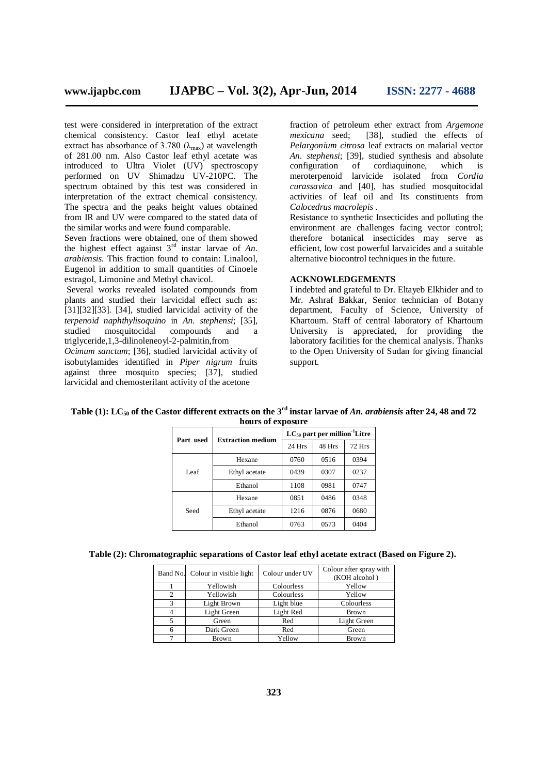test were considered in interpretation of the extract chemical consistency. Castor leaf ethyl acetate extract has absorbance of 3.780  $(\lambda_{\text{max}})$  at wavelength of 281.00 nm. Also Castor leaf ethyl acetate was introduced to Ultra Violet (UV) spectroscopy performed on UV Shimadzu UV-210PC. The spectrum obtained by this test was considered in interpretation of the extract chemical consistency. The spectra and the peaks height values obtained from IR and UV were compared to the stated data of the similar works and were found comparable.

Seven fractions were obtained, one of them showed the highest effect against 3rd instar larvae of *An. arabiensis.* This fraction found to contain: Linalool, Eugenol in addition to small quantities of Cinoele estragol, Limonine and Methyl chavicol.

Several works revealed isolated compounds from plants and studied their larvicidal effect such as: [31][32][33]. [34], studied larvicidal activity of the *terpenoid naphthylisoquino* in *An. stephensi*; [35], studied mosquitocidal compounds and a triglyceride,1,3-dilinoleneoyl-2-palmitin,from

*Ocimum sanctum*; [36], studied larvicidal activity of isobutylamides identified in *Piper nigrum* fruits against three mosquito species; [37], studied larvicidal and chemosterilant activity of the acetone

fraction of petroleum ether extract from *Argemone*  [38], studied the effects of *Pelargonium citrosa* leaf extracts on malarial vector *An. stephensi*; [39], studied synthesis and absolute cordiaquinone, meroterpenoid larvicide isolated from *Cordia curassavica* and [40], has studied mosquitocidal activities of leaf oil and Its constituents from *Calocedrus macrolepis* .

Resistance to synthetic Insecticides and polluting the environment are challenges facing vector control; therefore botanical insecticides may serve as efficient, low cost powerful larvaicides and a suitable alternative biocontrol techniques in the future.

## **ACKNOWLEDGEMENTS**

I indebted and grateful to Dr. Eltayeb Elkhider and to Mr. Ashraf Bakkar, Senior technician of Botany department, Faculty of Science, University of Khartoum. Staff of central laboratory of Khartoum University is appreciated, for providing the laboratory facilities for the chemical analysis. Thanks to the Open University of Sudan for giving financial support.

|           |                          | $LC_{50}$ part per million <sup>-1</sup> Litre |        |               |  |
|-----------|--------------------------|------------------------------------------------|--------|---------------|--|
| Part used | <b>Extraction medium</b> | 24 Hrs                                         | 48 Hrs | <b>72 Hrs</b> |  |
| Leaf      | Hexane                   | 0760                                           | 0516   | 0394          |  |
|           | Ethyl acetate            | 0439                                           | 0307   | 0237          |  |
|           | Ethanol                  | 1108                                           | 0981   | 0747          |  |
| Seed      | Hexane                   | 0851                                           | 0486   | 0348          |  |
|           | Ethyl acetate            | 1216                                           | 0876   | 0680          |  |
|           | Ethanol                  | 0763                                           | 0573   | 0404          |  |

**Table (1): LC<sup>50</sup> of the Castor different extracts on the 3rd instar larvae of** *An. arabiensis* **after 24, 48 and 72 hours of exposure**

|  |  |  | Table (2): Chromatographic separations of Castor leaf ethyl acetate extract (Based on Figure 2). |  |  |
|--|--|--|--------------------------------------------------------------------------------------------------|--|--|
|--|--|--|--------------------------------------------------------------------------------------------------|--|--|

|   | Band No. Colour in visible light | Colour under UV | Colour after spray with<br>(KOH alcohol) |
|---|----------------------------------|-----------------|------------------------------------------|
|   | Yellowish                        | Colourless      | Yellow                                   |
|   | Yellowish                        | Colourless      | Yellow                                   |
| 3 | Light Brown                      | Light blue      | Colourless                               |
|   | Light Green                      | Light Red       | <b>Brown</b>                             |
|   | Green                            | Red             | Light Green                              |
| 6 | Dark Green                       | Red             | Green                                    |
|   | <b>Brown</b>                     | Yellow          | <b>Brown</b>                             |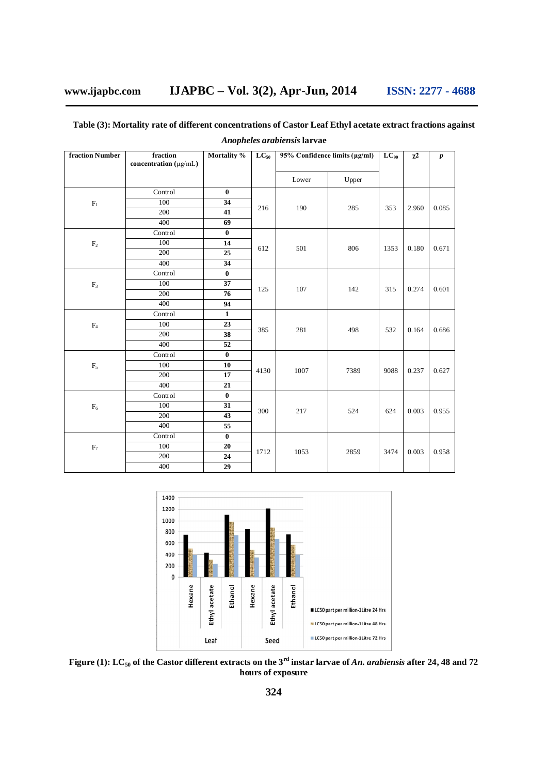## **Table (3): Mortality rate of different concentrations of Castor Leaf Ethyl acetate extract fractions against**

| fraction Number | fraction<br>concentration $(\mu g/\text{mL})$ | Mortality %             | $LC_{50}$ | 95% Confidence limits (µg/ml) |       | $LC_{90}$ | $\chi^2$ | $\boldsymbol{p}$ |
|-----------------|-----------------------------------------------|-------------------------|-----------|-------------------------------|-------|-----------|----------|------------------|
|                 |                                               |                         |           | Lower                         | Upper |           |          |                  |
|                 | Control                                       | $\bf{0}$                |           |                               |       |           |          |                  |
| $F_1$           | 100                                           | 34                      |           |                               |       |           |          |                  |
|                 | 200                                           | 41                      | 216       | 190                           | 285   | 353       | 2.960    | 0.085            |
|                 | 400                                           | 69                      |           |                               |       |           |          |                  |
|                 | Control                                       | $\bf{0}$                |           |                               |       |           |          |                  |
| $\rm{F}_2$      | 100                                           | 14                      | 612       |                               | 806   |           | 0.180    | 0.671            |
|                 | 200                                           | 25                      |           | 501                           |       | 1353      |          |                  |
|                 | 400                                           | 34                      |           |                               |       |           |          |                  |
|                 | Control                                       | $\bf{0}$                |           |                               |       |           |          |                  |
| F <sub>3</sub>  | 100                                           | 37                      |           |                               |       |           |          |                  |
|                 | 200                                           | 76                      | 125       | 107                           | 142   | 315       | 0.274    | 0.601            |
|                 | 400                                           | 94                      |           |                               |       |           |          |                  |
|                 | Control                                       | $\mathbf{1}$            |           |                               |       |           |          |                  |
| F <sub>4</sub>  | 100                                           | 23                      |           |                               |       |           |          |                  |
|                 | 200                                           | 38                      | 385       | 281                           | 498   | 532       | 0.164    | 0.686            |
|                 | 400                                           | 52                      |           |                               |       |           |          |                  |
|                 | Control                                       | $\overline{\mathbf{0}}$ |           |                               |       |           |          |                  |
| $\mathrm{F}_5$  | 100                                           | 10                      | 4130      | 1007                          | 7389  | 9088      | 0.237    | 0.627            |
|                 | 200                                           | 17                      |           |                               |       |           |          |                  |
|                 | 400                                           | 21                      |           |                               |       |           |          |                  |
|                 | Control                                       | $\bf{0}$                |           |                               |       |           |          |                  |
| $F_6$           | 100                                           | 31                      | 300       |                               | 524   | 624       | 0.003    | 0.955            |
|                 | 200                                           | 43                      |           | 217                           |       |           |          |                  |
|                 | 400                                           | 55                      |           |                               |       |           |          |                  |
|                 | Control                                       | $\pmb{0}$               |           |                               |       |           |          |                  |
| $\mathrm{F}_7$  | 100                                           | 20                      |           |                               |       |           | 0.003    |                  |
|                 | 200                                           | 24                      | 1712      | 1053                          | 2859  | 3474      |          | 0.958            |
|                 | 400                                           | 29                      |           |                               |       |           |          |                  |

*Anopheles arabiensis* **larvae**



**Figure (1): LC<sup>50</sup> of the Castor different extracts on the 3rd instar larvae of** *An. arabiensis* **after 24, 48 and 72 hours of exposure**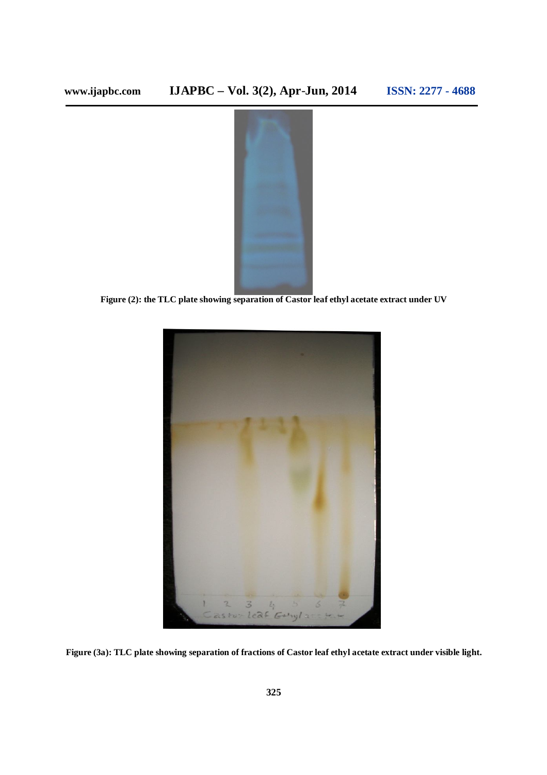

**Figure (2): the TLC plate showing separation of Castor leaf ethyl acetate extract under UV**



**Figure (3a): TLC plate showing separation of fractions of Castor leaf ethyl acetate extract under visible light.**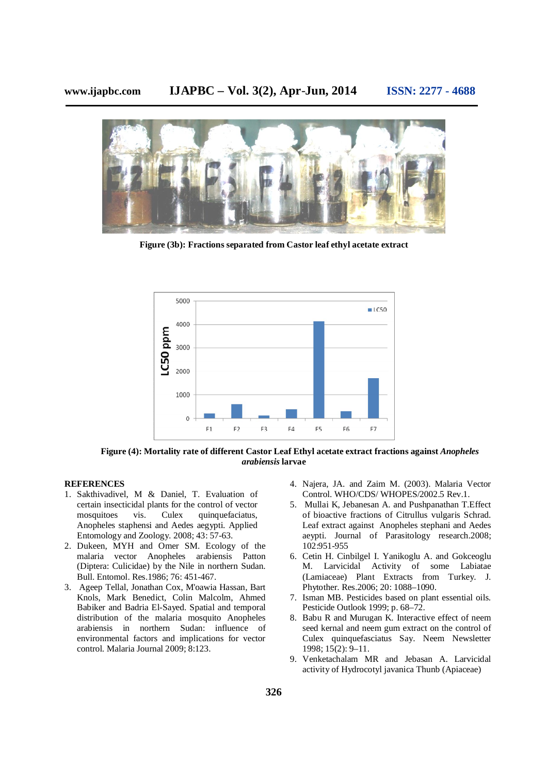

**Figure (3b): Fractions separated from Castor leaf ethyl acetate extract**



**Figure (4): Mortality rate of different Castor Leaf Ethyl acetate extract fractions against** *Anopheles arabiensis* **larvae**

## **REFERENCES**

- 1. Sakthivadivel, M & Daniel, T. Evaluation of certain insecticidal plants for the control of vector mosquitoes vis. Culex quinquefaciatus, Anopheles staphensi and Aedes aegypti. Applied Entomology and Zoology. 2008; 43: 57-63.
- 2. Dukeen, MYH and Omer SM. Ecology of the malaria vector Anopheles arabiensis Patton (Diptera: Culicidae) by the Nile in northern Sudan. Bull. Entomol. Res.1986; 76: 451-467.
- 3. Ageep Tellal, Jonathan Cox, M'oawia Hassan, Bart Knols, Mark Benedict, Colin Malcolm, Ahmed Babiker and Badria El-Sayed. Spatial and temporal distribution of the malaria mosquito Anopheles arabiensis in northern Sudan: influence of environmental factors and implications for vector control. Malaria Journal 2009; 8:123.
- 4. Najera, JA. and Zaim M. (2003). Malaria Vector Control. WHO/CDS/ WHOPES/2002.5 Rev.1.
- 5. Mullai K, Jebanesan A. and Pushpanathan T.Effect of bioactive fractions of Citrullus vulgaris Schrad. Leaf extract against Anopheles stephani and Aedes aeypti. Journal of Parasitology research.2008; 102:951-955
- 6. Cetin H. Cinbilgel I. Yanikoglu A. and Gokceoglu M. Larvicidal Activity of some Labiatae (Lamiaceae) Plant Extracts from Turkey. J. Phytother. Res.2006; 20: 1088–1090.
- 7. Isman MB. Pesticides based on plant essential oils. Pesticide Outlook 1999; p. 68–72.
- 8. Babu R and Murugan K. Interactive effect of neem seed kernal and neem gum extract on the control of Culex quinquefasciatus Say. Neem Newsletter 1998; 15(2): 9–11.
- 9. Venketachalam MR and Jebasan A. Larvicidal activity of Hydrocotyl javanica Thunb (Apiaceae)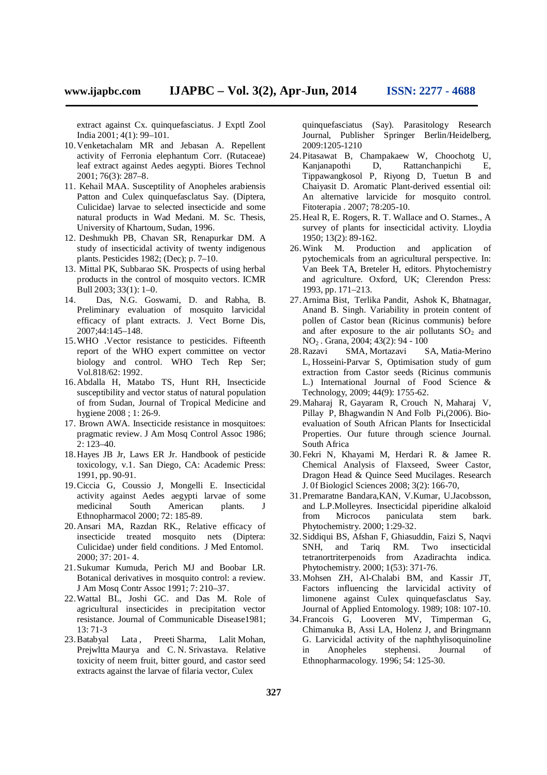extract against Cx. quinquefasciatus. J Exptl Zool India 2001; 4(1): 99–101.

- 10.Venketachalam MR and Jebasan A. Repellent activity of Ferronia elephantum Corr. (Rutaceae) leaf extract against Aedes aegypti. Biores Technol 2001; 76(3): 287–8.
- 11. Kehail MAA. Susceptility of Anopheles arabiensis Patton and Culex quinquefasclatus Say. (Diptera, Culicidae) larvae to selected insecticide and some natural products in Wad Medani. M. Sc. Thesis, University of Khartoum, Sudan, 1996.
- 12. Deshmukh PB, Chavan SR, Renapurkar DM. A study of insecticidal activity of twenty indigenous plants. Pesticides 1982; (Dec); p. 7–10.
- 13. Mittal PK, Subbarao SK. Prospects of using herbal products in the control of mosquito vectors. ICMR Bull 2003; 33(1): 1–0.
- 14. Das, N.G. Goswami, D. and Rabha, B. Preliminary evaluation of mosquito larvicidal efficacy of plant extracts. J. Vect Borne Dis, 2007;44:145–148.
- 15.WHO .Vector resistance to pesticides. Fifteenth report of the WHO expert committee on vector biology and control. WHO Tech Rep Ser; Vol.818/62: 1992.
- 16.Abdalla H, Matabo TS, Hunt RH, Insecticide susceptibility and vector status of natural population of from Sudan, Journal of Tropical Medicine and hygiene 2008 ; 1: 26-9.
- 17. Brown AWA. Insecticide resistance in mosquitoes: pragmatic review. J Am Mosq Control Assoc 1986; 2: 123–40.
- 18.Hayes JB Jr, Laws ER Jr. Handbook of pesticide toxicology, v.1. San Diego, CA: Academic Press: 1991, pp. 90-91.
- 19.Ciccia G, Coussio J, Mongelli E. Insecticidal activity against Aedes aegypti larvae of some medicinal South American plants. J Ethnopharmacol 2000; 72: 185-89.
- 20.Ansari MA, Razdan RK., Relative efficacy of insecticide treated mosquito nets (Diptera: Culicidae) under field conditions. J Med Entomol. 2000; 37: 201- 4.
- 21.Sukumar Kumuda, Perich MJ and Boobar LR. Botanical derivatives in mosquito control: a review. J Am Mosq Contr Assoc 1991; 7: 210–37.
- 22.Wattal BL, Joshi GC. and Das M. Role of agricultural insecticides in precipitation vector resistance. Journal of Communicable Disease1981; 13: 71-3
- 23. Batabyal Lata, Preeti Sharma, Lalit Mohan, Prejwltta Maurya and C. N. Srivastava. Relative toxicity of neem fruit, bitter gourd, and castor seed extracts against the larvae of filaria vector, Culex

quinquefasciatus (Say). Parasitology Research Journal, Publisher Springer Berlin/Heidelberg, 2009:1205-1210

- 24.Pitasawat B, Champakaew W, Choochotg U, Kanjanapothi D, Rattanchanpichi E, Tippawangkosol P, Riyong D, Tuetun B and Chaiyasit D. Aromatic Plant-derived essential oil: An alternative larvicide for mosquito control. Fitoterapia . 2007; 78:205-10.
- 25.Heal R, E. Rogers, R. T. Wallace and O. Starnes., A survey of plants for insecticidal activity. Lloydia 1950; 13(2): 89-162.
- 26.Wink M. Production and application of pytochemicals from an agricultural perspective. In: Van Beek TA, Breteler H, editors. Phytochemistry and agriculture. Oxford, UK; Clerendon Press: 1993, pp. 171–213.
- 27.Arnima Bist, Terlika Pandit, Ashok K, Bhatnagar, Anand B. Singh. Variability in protein content of pollen of Castor bean (Ricinus communis) before and after exposure to the air pollutants  $SO<sub>2</sub>$  and NO<sup>2</sup> . Grana, 2004; 43(2): 94 - 100
- 28.Razavi SMA, Mortazavi SA, Matia-Merino L, Hosseini-Parvar S, Optimisation study of gum extraction from Castor seeds (Ricinus communis L.) International Journal of Food Science & Technology, 2009; 44(9): 1755-62.
- 29.Maharaj R, Gayaram R, Crouch N, Maharaj V, Pillay P, Bhagwandin N And Folb Pi,(2006). Bioevaluation of South African Plants for Insecticidal Properties. Our future through science Journal. South Africa
- 30.Fekri N, Khayami M, Herdari R. & Jamee R. Chemical Analysis of Flaxseed, Sweer Castor, Dragon Head & Quince Seed Mucilages. Research J. 0f Biologicl Sciences 2008; 3(2): 166-70,
- 31.Premaratne Bandara,KAN, V.Kumar, U.Jacobsson, and L.P.Molleyres. Insecticidal piperidine alkaloid from Microcos paniculata stem bark. Phytochemistry. 2000; 1:29-32.
- 32.Siddiqui BS, Afshan F, Ghiasuddin, Faizi S, Naqvi SNH, and Tariq RM. Two insecticidal tetranortriterpenoids from Azadirachta indica. Phytochemistry. 2000; 1(53): 371-76.
- 33.Mohsen ZH, Al-Chalabi BM, and Kassir JT, Factors influencing the larvicidal activity of limonene against Culex quinquefasclatus Say. Journal of Applied Entomology. 1989; 108: 107-10.
- 34.Francois G, Looveren MV, Timperman G, Chimanuka B, Assi LA, Holenz J, and Bringmann G. Larvicidal activity of the naphthylisoquinoline in Anopheles stephensi. Journal of Ethnopharmacology. 1996; 54: 125-30.